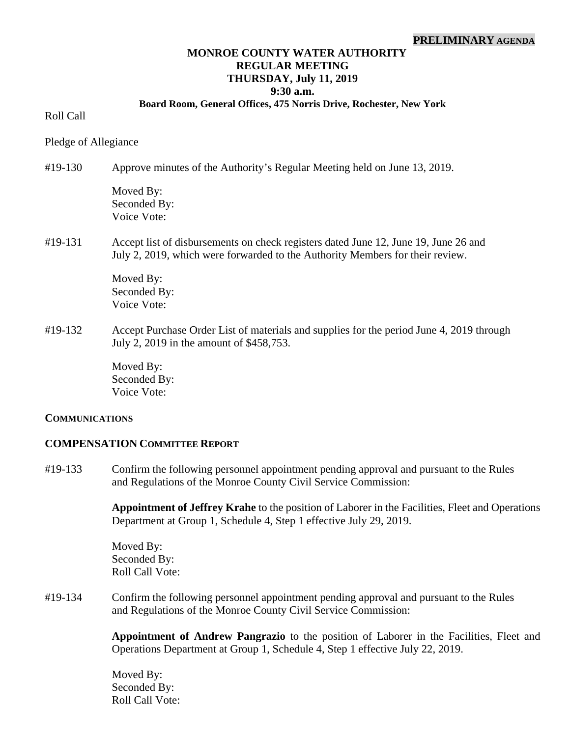#### **PRELIMINARY AGENDA**

### **MONROE COUNTY WATER AUTHORITY REGULAR MEETING THURSDAY, July 11, 2019 9:30 a.m.**

#### **Board Room, General Offices, 475 Norris Drive, Rochester, New York**

Roll Call

Pledge of Allegiance

#19-130 Approve minutes of the Authority's Regular Meeting held on June 13, 2019.

Moved By: Seconded By: Voice Vote:

### #19-131 Accept list of disbursements on check registers dated June 12, June 19, June 26 and July 2, 2019, which were forwarded to the Authority Members for their review.

 Moved By: Seconded By: Voice Vote:

#19-132 Accept Purchase Order List of materials and supplies for the period June 4, 2019 through July 2, 2019 in the amount of \$458,753.

> Moved By: Seconded By: Voice Vote:

#### **COMMUNICATIONS**

#### **COMPENSATION COMMITTEE REPORT**

#19-133 Confirm the following personnel appointment pending approval and pursuant to the Rules and Regulations of the Monroe County Civil Service Commission:

> **Appointment of Jeffrey Krahe** to the position of Laborer in the Facilities, Fleet and Operations Department at Group 1, Schedule 4, Step 1 effective July 29, 2019.

Moved By: Seconded By: Roll Call Vote:

#19-134 Confirm the following personnel appointment pending approval and pursuant to the Rules and Regulations of the Monroe County Civil Service Commission:

> **Appointment of Andrew Pangrazio** to the position of Laborer in the Facilities, Fleet and Operations Department at Group 1, Schedule 4, Step 1 effective July 22, 2019.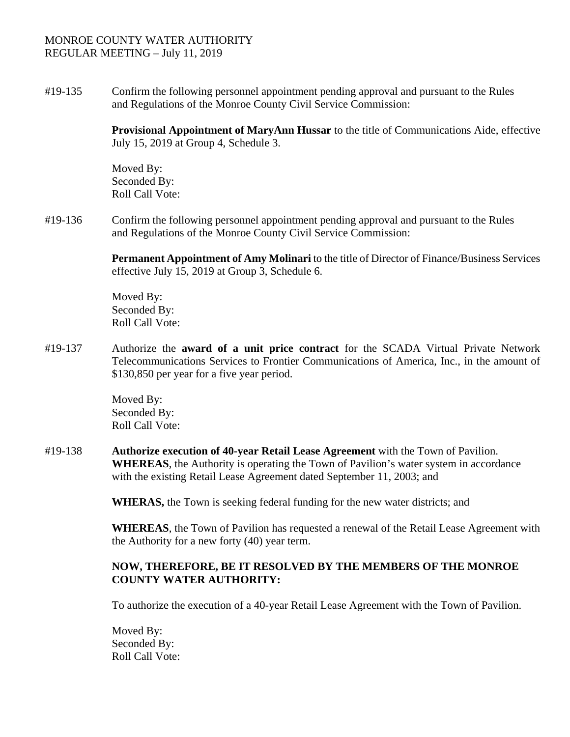#19-135 Confirm the following personnel appointment pending approval and pursuant to the Rules and Regulations of the Monroe County Civil Service Commission:

> **Provisional Appointment of MaryAnn Hussar** to the title of Communications Aide, effective July 15, 2019 at Group 4, Schedule 3.

Moved By: Seconded By: Roll Call Vote:

#19-136 Confirm the following personnel appointment pending approval and pursuant to the Rules and Regulations of the Monroe County Civil Service Commission:

> **Permanent Appointment of Amy Molinari** to the title of Director of Finance/Business Services effective July 15, 2019 at Group 3, Schedule 6.

Moved By: Seconded By: Roll Call Vote:

#19-137 Authorize the **award of a unit price contract** for the SCADA Virtual Private Network Telecommunications Services to Frontier Communications of America, Inc., in the amount of \$130,850 per year for a five year period.

> Moved By: Seconded By: Roll Call Vote:

#19-138 **Authorize execution of 40-year Retail Lease Agreement** with the Town of Pavilion. **WHEREAS**, the Authority is operating the Town of Pavilion's water system in accordance with the existing Retail Lease Agreement dated September 11, 2003; and

 **WHERAS,** the Town is seeking federal funding for the new water districts; and

**WHEREAS**, the Town of Pavilion has requested a renewal of the Retail Lease Agreement with the Authority for a new forty (40) year term.

## **NOW, THEREFORE, BE IT RESOLVED BY THE MEMBERS OF THE MONROE COUNTY WATER AUTHORITY:**

To authorize the execution of a 40-year Retail Lease Agreement with the Town of Pavilion.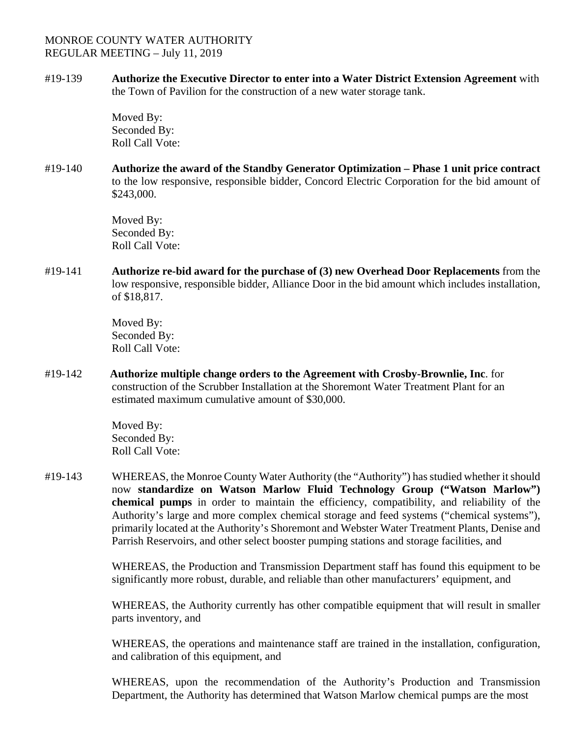#19-139 **Authorize the Executive Director to enter into a Water District Extension Agreement** with the Town of Pavilion for the construction of a new water storage tank.

> Moved By: Seconded By: Roll Call Vote:

#19-140 **Authorize the award of the Standby Generator Optimization – Phase 1 unit price contract** to the low responsive, responsible bidder, Concord Electric Corporation for the bid amount of \$243,000.

> Moved By: Seconded By: Roll Call Vote:

#19-141 **Authorize re-bid award for the purchase of (3) new Overhead Door Replacements** from the low responsive, responsible bidder, Alliance Door in the bid amount which includes installation, of \$18,817.

> Moved By: Seconded By: Roll Call Vote:

#19-142 **Authorize multiple change orders to the Agreement with Crosby-Brownlie, Inc**. for construction of the Scrubber Installation at the Shoremont Water Treatment Plant for an estimated maximum cumulative amount of \$30,000.

> Moved By: Seconded By: Roll Call Vote:

#19-143 WHEREAS, the Monroe County Water Authority (the "Authority") has studied whether it should now **standardize on Watson Marlow Fluid Technology Group ("Watson Marlow") chemical pumps** in order to maintain the efficiency, compatibility, and reliability of the Authority's large and more complex chemical storage and feed systems ("chemical systems"), primarily located at the Authority's Shoremont and Webster Water Treatment Plants, Denise and Parrish Reservoirs, and other select booster pumping stations and storage facilities, and

> WHEREAS, the Production and Transmission Department staff has found this equipment to be significantly more robust, durable, and reliable than other manufacturers' equipment, and

> WHEREAS, the Authority currently has other compatible equipment that will result in smaller parts inventory, and

> WHEREAS, the operations and maintenance staff are trained in the installation, configuration, and calibration of this equipment, and

> WHEREAS, upon the recommendation of the Authority's Production and Transmission Department, the Authority has determined that Watson Marlow chemical pumps are the most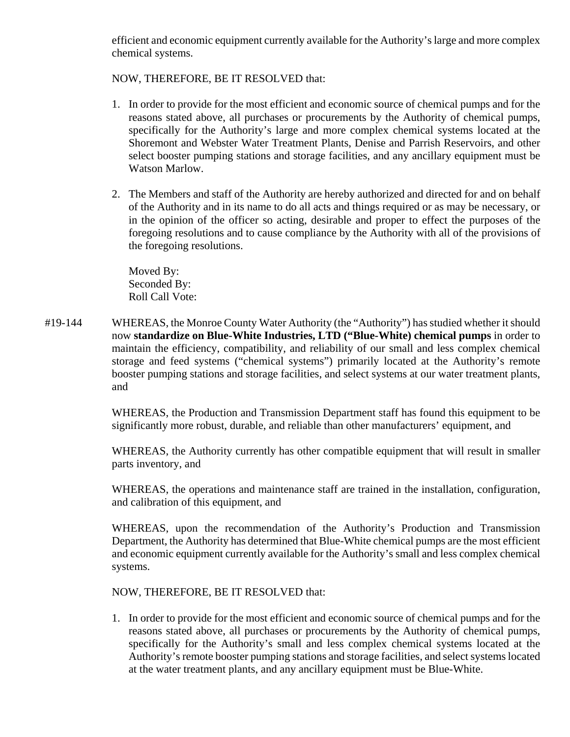efficient and economic equipment currently available for the Authority's large and more complex chemical systems.

# NOW, THEREFORE, BE IT RESOLVED that:

- 1. In order to provide for the most efficient and economic source of chemical pumps and for the reasons stated above, all purchases or procurements by the Authority of chemical pumps, specifically for the Authority's large and more complex chemical systems located at the Shoremont and Webster Water Treatment Plants, Denise and Parrish Reservoirs, and other select booster pumping stations and storage facilities, and any ancillary equipment must be Watson Marlow.
- 2. The Members and staff of the Authority are hereby authorized and directed for and on behalf of the Authority and in its name to do all acts and things required or as may be necessary, or in the opinion of the officer so acting, desirable and proper to effect the purposes of the foregoing resolutions and to cause compliance by the Authority with all of the provisions of the foregoing resolutions.

Moved By: Seconded By: Roll Call Vote:

#19-144 WHEREAS, the Monroe County Water Authority (the "Authority") has studied whether it should now **standardize on Blue-White Industries, LTD ("Blue-White) chemical pumps** in order to maintain the efficiency, compatibility, and reliability of our small and less complex chemical storage and feed systems ("chemical systems") primarily located at the Authority's remote booster pumping stations and storage facilities, and select systems at our water treatment plants, and

> WHEREAS, the Production and Transmission Department staff has found this equipment to be significantly more robust, durable, and reliable than other manufacturers' equipment, and

> WHEREAS, the Authority currently has other compatible equipment that will result in smaller parts inventory, and

> WHEREAS, the operations and maintenance staff are trained in the installation, configuration, and calibration of this equipment, and

> WHEREAS, upon the recommendation of the Authority's Production and Transmission Department, the Authority has determined that Blue-White chemical pumps are the most efficient and economic equipment currently available for the Authority's small and less complex chemical systems.

NOW, THEREFORE, BE IT RESOLVED that:

1. In order to provide for the most efficient and economic source of chemical pumps and for the reasons stated above, all purchases or procurements by the Authority of chemical pumps, specifically for the Authority's small and less complex chemical systems located at the Authority's remote booster pumping stations and storage facilities, and select systems located at the water treatment plants, and any ancillary equipment must be Blue-White.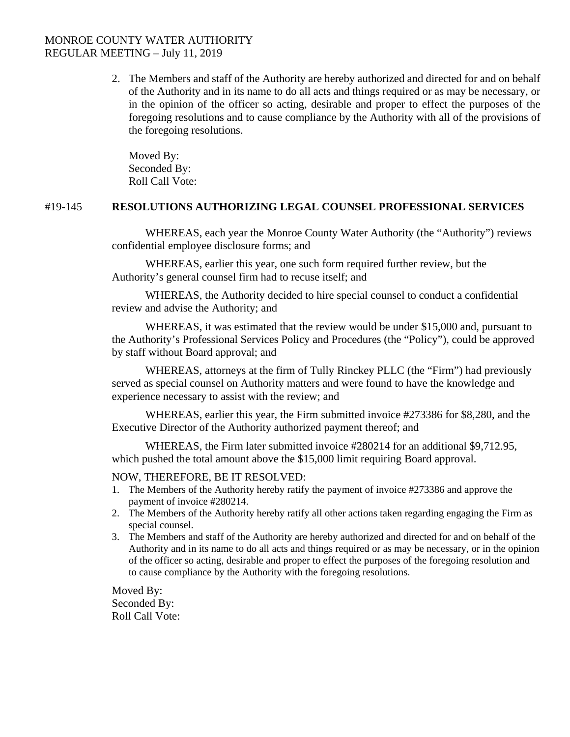2. The Members and staff of the Authority are hereby authorized and directed for and on behalf of the Authority and in its name to do all acts and things required or as may be necessary, or in the opinion of the officer so acting, desirable and proper to effect the purposes of the foregoing resolutions and to cause compliance by the Authority with all of the provisions of the foregoing resolutions.

Moved By: Seconded By: Roll Call Vote:

## #19-145 **RESOLUTIONS AUTHORIZING LEGAL COUNSEL PROFESSIONAL SERVICES**

WHEREAS, each year the Monroe County Water Authority (the "Authority") reviews confidential employee disclosure forms; and

WHEREAS, earlier this year, one such form required further review, but the Authority's general counsel firm had to recuse itself; and

WHEREAS, the Authority decided to hire special counsel to conduct a confidential review and advise the Authority; and

WHEREAS, it was estimated that the review would be under \$15,000 and, pursuant to the Authority's Professional Services Policy and Procedures (the "Policy"), could be approved by staff without Board approval; and

WHEREAS, attorneys at the firm of Tully Rinckey PLLC (the "Firm") had previously served as special counsel on Authority matters and were found to have the knowledge and experience necessary to assist with the review; and

WHEREAS, earlier this year, the Firm submitted invoice #273386 for \$8,280, and the Executive Director of the Authority authorized payment thereof; and

WHEREAS, the Firm later submitted invoice #280214 for an additional \$9,712.95, which pushed the total amount above the \$15,000 limit requiring Board approval.

#### NOW, THEREFORE, BE IT RESOLVED:

- 1. The Members of the Authority hereby ratify the payment of invoice #273386 and approve the payment of invoice #280214.
- 2. The Members of the Authority hereby ratify all other actions taken regarding engaging the Firm as special counsel.
- 3. The Members and staff of the Authority are hereby authorized and directed for and on behalf of the Authority and in its name to do all acts and things required or as may be necessary, or in the opinion of the officer so acting, desirable and proper to effect the purposes of the foregoing resolution and to cause compliance by the Authority with the foregoing resolutions.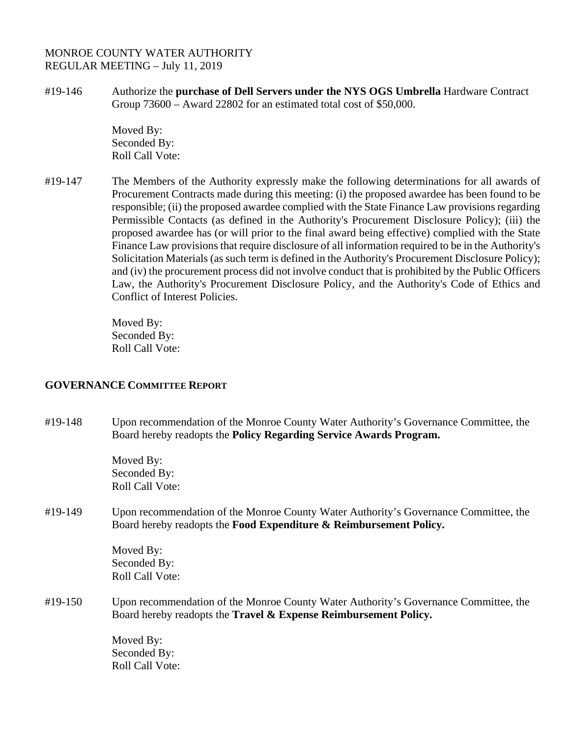#19-146 Authorize the **purchase of Dell Servers under the NYS OGS Umbrella** Hardware Contract Group 73600 – Award 22802 for an estimated total cost of \$50,000.

> Moved By: Seconded By: Roll Call Vote:

#19-147 The Members of the Authority expressly make the following determinations for all awards of Procurement Contracts made during this meeting: (i) the proposed awardee has been found to be responsible; (ii) the proposed awardee complied with the State Finance Law provisions regarding Permissible Contacts (as defined in the Authority's Procurement Disclosure Policy); (iii) the proposed awardee has (or will prior to the final award being effective) complied with the State Finance Law provisions that require disclosure of all information required to be in the Authority's Solicitation Materials (as such term is defined in the Authority's Procurement Disclosure Policy); and (iv) the procurement process did not involve conduct that is prohibited by the Public Officers Law, the Authority's Procurement Disclosure Policy, and the Authority's Code of Ethics and Conflict of Interest Policies.

> Moved By: Seconded By: Roll Call Vote:

## **GOVERNANCE COMMITTEE REPORT**

#19-148 Upon recommendation of the Monroe County Water Authority's Governance Committee, the Board hereby readopts the **Policy Regarding Service Awards Program.** 

> Moved By: Seconded By: Roll Call Vote:

#19-149 Upon recommendation of the Monroe County Water Authority's Governance Committee, the Board hereby readopts the **Food Expenditure & Reimbursement Policy.** 

> Moved By: Seconded By: Roll Call Vote:

#19-150 Upon recommendation of the Monroe County Water Authority's Governance Committee, the Board hereby readopts the **Travel & Expense Reimbursement Policy.**